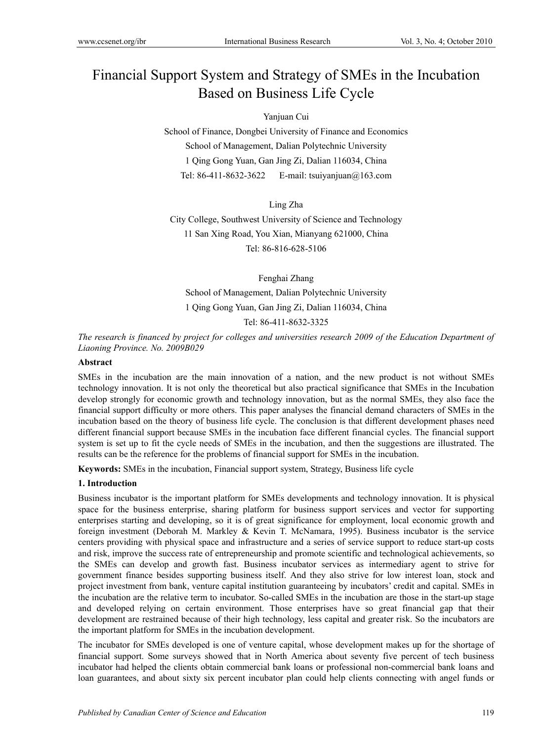# Financial Support System and Strategy of SMEs in the Incubation Based on Business Life Cycle

Yanjuan Cui

School of Finance, Dongbei University of Finance and Economics School of Management, Dalian Polytechnic University 1 Qing Gong Yuan, Gan Jing Zi, Dalian 116034, China Tel: 86-411-8632-3622 E-mail: tsuiyanjuan@163.com

Ling Zha

City College, Southwest University of Science and Technology 11 San Xing Road, You Xian, Mianyang 621000, China Tel: 86-816-628-5106

Fenghai Zhang School of Management, Dalian Polytechnic University 1 Qing Gong Yuan, Gan Jing Zi, Dalian 116034, China

Tel: 86-411-8632-3325

*The research is financed by project for colleges and universities research 2009 of the Education Department of Liaoning Province. No. 2009B029*

#### **Abstract**

SMEs in the incubation are the main innovation of a nation, and the new product is not without SMEs technology innovation. It is not only the theoretical but also practical significance that SMEs in the Incubation develop strongly for economic growth and technology innovation, but as the normal SMEs, they also face the financial support difficulty or more others. This paper analyses the financial demand characters of SMEs in the incubation based on the theory of business life cycle. The conclusion is that different development phases need different financial support because SMEs in the incubation face different financial cycles. The financial support system is set up to fit the cycle needs of SMEs in the incubation, and then the suggestions are illustrated. The results can be the reference for the problems of financial support for SMEs in the incubation.

**Keywords:** SMEs in the incubation, Financial support system, Strategy, Business life cycle

## **1. Introduction**

Business incubator is the important platform for SMEs developments and technology innovation. It is physical space for the business enterprise, sharing platform for business support services and vector for supporting enterprises starting and developing, so it is of great significance for employment, local economic growth and foreign investment (Deborah M. Markley & Kevin T. McNamara, 1995). Business incubator is the service centers providing with physical space and infrastructure and a series of service support to reduce start-up costs and risk, improve the success rate of entrepreneurship and promote scientific and technological achievements, so the SMEs can develop and growth fast. Business incubator services as intermediary agent to strive for government finance besides supporting business itself. And they also strive for low interest loan, stock and project investment from bank, venture capital institution guaranteeing by incubators' credit and capital. SMEs in the incubation are the relative term to incubator. So-called SMEs in the incubation are those in the start-up stage and developed relying on certain environment. Those enterprises have so great financial gap that their development are restrained because of their high technology, less capital and greater risk. So the incubators are the important platform for SMEs in the incubation development.

The incubator for SMEs developed is one of venture capital, whose development makes up for the shortage of financial support. Some surveys showed that in North America about seventy five percent of tech business incubator had helped the clients obtain commercial bank loans or professional non-commercial bank loans and loan guarantees, and about sixty six percent incubator plan could help clients connecting with angel funds or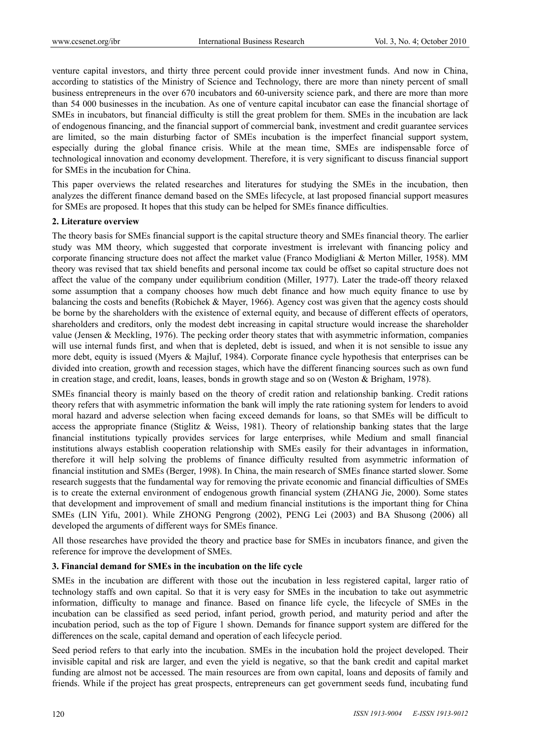venture capital investors, and thirty three percent could provide inner investment funds. And now in China, according to statistics of the Ministry of Science and Technology, there are more than ninety percent of small business entrepreneurs in the over 670 incubators and 60-university science park, and there are more than more than 54 000 businesses in the incubation. As one of venture capital incubator can ease the financial shortage of SMEs in incubators, but financial difficulty is still the great problem for them. SMEs in the incubation are lack of endogenous financing, and the financial support of commercial bank, investment and credit guarantee services are limited, so the main disturbing factor of SMEs incubation is the imperfect financial support system, especially during the global finance crisis. While at the mean time, SMEs are indispensable force of technological innovation and economy development. Therefore, it is very significant to discuss financial support for SMEs in the incubation for China.

This paper overviews the related researches and literatures for studying the SMEs in the incubation, then analyzes the different finance demand based on the SMEs lifecycle, at last proposed financial support measures for SMEs are proposed. It hopes that this study can be helped for SMEs finance difficulties.

#### **2. Literature overview**

The theory basis for SMEs financial support is the capital structure theory and SMEs financial theory. The earlier study was MM theory, which suggested that corporate investment is irrelevant with financing policy and corporate financing structure does not affect the market value (Franco Modigliani & Merton Miller, 1958). MM theory was revised that tax shield benefits and personal income tax could be offset so capital structure does not affect the value of the company under equilibrium condition (Miller, 1977). Later the trade-off theory relaxed some assumption that a company chooses how much debt finance and how much equity finance to use by balancing the costs and benefits (Robichek & Mayer, 1966). Agency cost was given that the agency costs should be borne by the shareholders with the existence of external equity, and because of different effects of operators, shareholders and creditors, only the modest debt increasing in capital structure would increase the shareholder value (Jensen & Meckling, 1976). The pecking order theory states that with asymmetric information, companies will use internal funds first, and when that is depleted, debt is issued, and when it is not sensible to issue any more debt, equity is issued (Myers & Majluf, 1984). Corporate finance cycle hypothesis that enterprises can be divided into creation, growth and recession stages, which have the different financing sources such as own fund in creation stage, and credit, loans, leases, bonds in growth stage and so on (Weston & Brigham, 1978).

SMEs financial theory is mainly based on the theory of credit ration and relationship banking. Credit rations theory refers that with asymmetric information the bank will imply the rate rationing system for lenders to avoid moral hazard and adverse selection when facing exceed demands for loans, so that SMEs will be difficult to access the appropriate finance (Stiglitz & Weiss, 1981). Theory of relationship banking states that the large financial institutions typically provides services for large enterprises, while Medium and small financial institutions always establish cooperation relationship with SMEs easily for their advantages in information, therefore it will help solving the problems of finance difficulty resulted from asymmetric information of financial institution and SMEs (Berger, 1998). In China, the main research of SMEs finance started slower. Some research suggests that the fundamental way for removing the private economic and financial difficulties of SMEs is to create the external environment of endogenous growth financial system (ZHANG Jie, 2000). Some states that development and improvement of small and medium financial institutions is the important thing for China SMEs (LIN Yifu, 2001). While ZHONG Pengrong (2002), PENG Lei (2003) and BA Shusong (2006) all developed the arguments of different ways for SMEs finance.

All those researches have provided the theory and practice base for SMEs in incubators finance, and given the reference for improve the development of SMEs.

#### **3. Financial demand for SMEs in the incubation on the life cycle**

SMEs in the incubation are different with those out the incubation in less registered capital, larger ratio of technology staffs and own capital. So that it is very easy for SMEs in the incubation to take out asymmetric information, difficulty to manage and finance. Based on finance life cycle, the lifecycle of SMEs in the incubation can be classified as seed period, infant period, growth period, and maturity period and after the incubation period, such as the top of Figure 1 shown. Demands for finance support system are differed for the differences on the scale, capital demand and operation of each lifecycle period.

Seed period refers to that early into the incubation. SMEs in the incubation hold the project developed. Their invisible capital and risk are larger, and even the yield is negative, so that the bank credit and capital market funding are almost not be accessed. The main resources are from own capital, loans and deposits of family and friends. While if the project has great prospects, entrepreneurs can get government seeds fund, incubating fund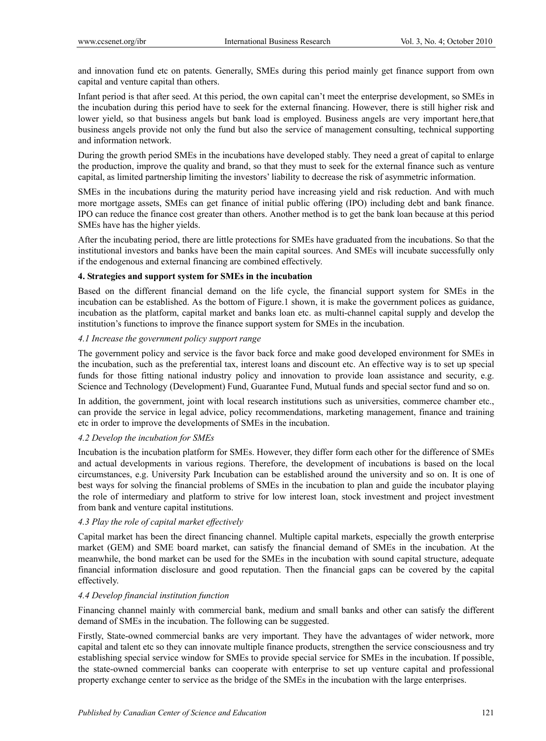and innovation fund etc on patents. Generally, SMEs during this period mainly get finance support from own capital and venture capital than others.

Infant period is that after seed. At this period, the own capital can't meet the enterprise development, so SMEs in the incubation during this period have to seek for the external financing. However, there is still higher risk and lower yield, so that business angels but bank load is employed. Business angels are very important here,that business angels provide not only the fund but also the service of management consulting, technical supporting and information network.

During the growth period SMEs in the incubations have developed stably. They need a great of capital to enlarge the production, improve the quality and brand, so that they must to seek for the external finance such as venture capital, as limited partnership limiting the investors' liability to decrease the risk of asymmetric information.

SMEs in the incubations during the maturity period have increasing yield and risk reduction. And with much more mortgage assets, SMEs can get finance of initial public offering (IPO) including debt and bank finance. IPO can reduce the finance cost greater than others. Another method is to get the bank loan because at this period SMEs have has the higher yields.

After the incubating period, there are little protections for SMEs have graduated from the incubations. So that the institutional investors and banks have been the main capital sources. And SMEs will incubate successfully only if the endogenous and external financing are combined effectively.

## **4. Strategies and support system for SMEs in the incubation**

Based on the different financial demand on the life cycle, the financial support system for SMEs in the incubation can be established. As the bottom of Figure.1 shown, it is make the government polices as guidance, incubation as the platform, capital market and banks loan etc. as multi-channel capital supply and develop the institution's functions to improve the finance support system for SMEs in the incubation.

## *4.1 Increase the government policy support range*

The government policy and service is the favor back force and make good developed environment for SMEs in the incubation, such as the preferential tax, interest loans and discount etc. An effective way is to set up special funds for those fitting national industry policy and innovation to provide loan assistance and security, e.g. Science and Technology (Development) Fund, Guarantee Fund, Mutual funds and special sector fund and so on.

In addition, the government, joint with local research institutions such as universities, commerce chamber etc., can provide the service in legal advice, policy recommendations, marketing management, finance and training etc in order to improve the developments of SMEs in the incubation.

## *4.2 Develop the incubation for SMEs*

Incubation is the incubation platform for SMEs. However, they differ form each other for the difference of SMEs and actual developments in various regions. Therefore, the development of incubations is based on the local circumstances, e.g. University Park Incubation can be established around the university and so on. It is one of best ways for solving the financial problems of SMEs in the incubation to plan and guide the incubator playing the role of intermediary and platform to strive for low interest loan, stock investment and project investment from bank and venture capital institutions.

## *4.3 Play the role of capital market effectively*

Capital market has been the direct financing channel. Multiple capital markets, especially the growth enterprise market (GEM) and SME board market, can satisfy the financial demand of SMEs in the incubation. At the meanwhile, the bond market can be used for the SMEs in the incubation with sound capital structure, adequate financial information disclosure and good reputation. Then the financial gaps can be covered by the capital effectively.

## *4.4 Develop financial institution function*

Financing channel mainly with commercial bank, medium and small banks and other can satisfy the different demand of SMEs in the incubation. The following can be suggested.

Firstly, State-owned commercial banks are very important. They have the advantages of wider network, more capital and talent etc so they can innovate multiple finance products, strengthen the service consciousness and try establishing special service window for SMEs to provide special service for SMEs in the incubation. If possible, the state-owned commercial banks can cooperate with enterprise to set up venture capital and professional property exchange center to service as the bridge of the SMEs in the incubation with the large enterprises.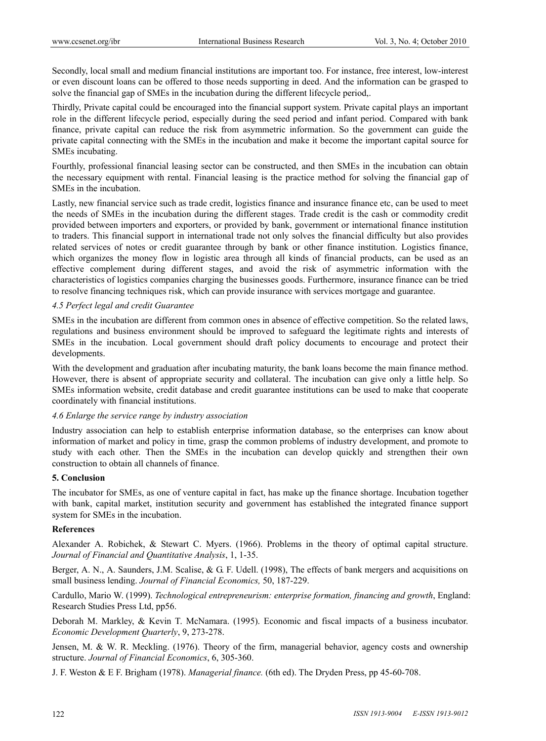Secondly, local small and medium financial institutions are important too. For instance, free interest, low-interest or even discount loans can be offered to those needs supporting in deed. And the information can be grasped to solve the financial gap of SMEs in the incubation during the different lifecycle period,.

Thirdly, Private capital could be encouraged into the financial support system. Private capital plays an important role in the different lifecycle period, especially during the seed period and infant period. Compared with bank finance, private capital can reduce the risk from asymmetric information. So the government can guide the private capital connecting with the SMEs in the incubation and make it become the important capital source for SMEs incubating.

Fourthly, professional financial leasing sector can be constructed, and then SMEs in the incubation can obtain the necessary equipment with rental. Financial leasing is the practice method for solving the financial gap of SMEs in the incubation.

Lastly, new financial service such as trade credit, logistics finance and insurance finance etc, can be used to meet the needs of SMEs in the incubation during the different stages. Trade credit is the cash or commodity credit provided between importers and exporters, or provided by bank, government or international finance institution to traders. This financial support in international trade not only solves the financial difficulty but also provides related services of notes or credit guarantee through by bank or other finance institution. Logistics finance, which organizes the money flow in logistic area through all kinds of financial products, can be used as an effective complement during different stages, and avoid the risk of asymmetric information with the characteristics of logistics companies charging the businesses goods. Furthermore, insurance finance can be tried to resolve financing techniques risk, which can provide insurance with services mortgage and guarantee.

## *4.5 Perfect legal and credit Guarantee*

SMEs in the incubation are different from common ones in absence of effective competition. So the related laws, regulations and business environment should be improved to safeguard the legitimate rights and interests of SMEs in the incubation. Local government should draft policy documents to encourage and protect their developments.

With the development and graduation after incubating maturity, the bank loans become the main finance method. However, there is absent of appropriate security and collateral. The incubation can give only a little help. So SMEs information website, credit database and credit guarantee institutions can be used to make that cooperate coordinately with financial institutions.

# *4.6 Enlarge the service range by industry association*

Industry association can help to establish enterprise information database, so the enterprises can know about information of market and policy in time, grasp the common problems of industry development, and promote to study with each other. Then the SMEs in the incubation can develop quickly and strengthen their own construction to obtain all channels of finance.

# **5. Conclusion**

The incubator for SMEs, as one of venture capital in fact, has make up the finance shortage. Incubation together with bank, capital market, institution security and government has established the integrated finance support system for SMEs in the incubation.

## **References**

Alexander A. Robichek, & Stewart C. Myers. (1966). Problems in the theory of optimal capital structure. *Journal of Financial and Quantitative Analysis*, 1, 1-35.

Berger, A. N., A. Saunders, J.M. Scalise, & G. F. Udell. (1998), The effects of bank mergers and acquisitions on small business lending. *Journal of Financial Economics,* 50, 187-229.

Cardullo, Mario W. (1999). *Technological entrepreneurism: enterprise formation, financing and growth*, England: Research Studies Press Ltd, pp56.

Deborah M. Markley, & Kevin T. McNamara. (1995). Economic and fiscal impacts of a business incubator. *Economic Development Quarterly*, 9, 273-278.

Jensen, M. & W. R. Meckling. (1976). Theory of the firm, managerial behavior, agency costs and ownership structure. *Journal of Financial Economics*, 6, 305-360.

J. F. Weston & E F. Brigham (1978). *Managerial finance.* (6th ed). The Dryden Press, pp 45-60-708.